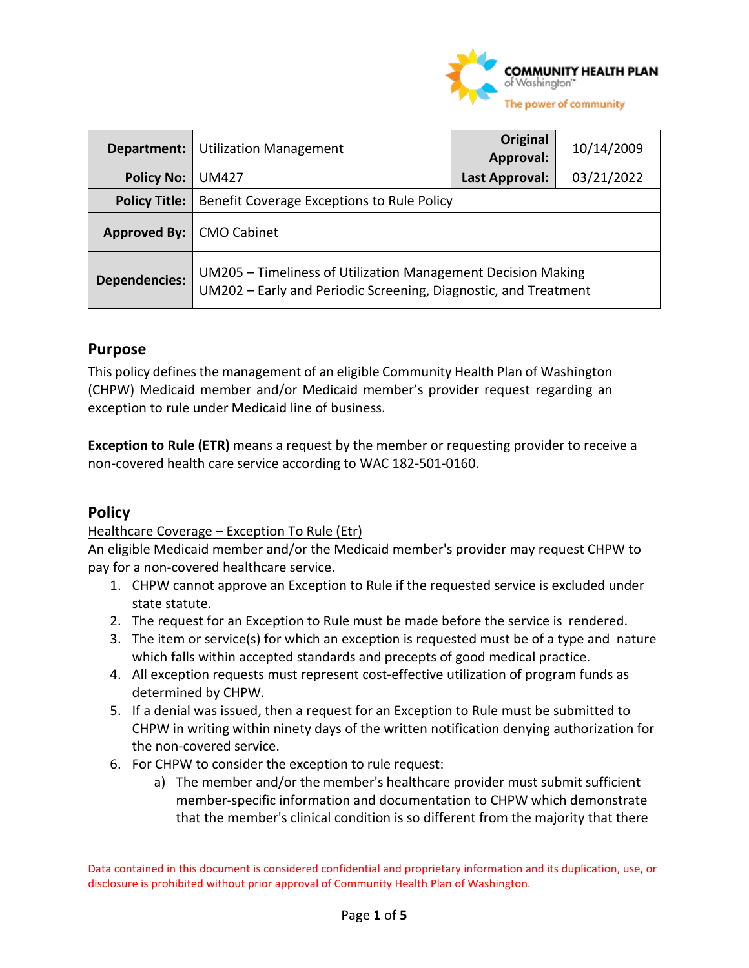

| Department:          | <b>Utilization Management</b>                                                                                                   | Original<br><b>Approval:</b> | 10/14/2009 |
|----------------------|---------------------------------------------------------------------------------------------------------------------------------|------------------------------|------------|
| <b>Policy No:</b>    | <b>UM427</b>                                                                                                                    | Last Approval:               | 03/21/2022 |
| <b>Policy Title:</b> | Benefit Coverage Exceptions to Rule Policy                                                                                      |                              |            |
| Approved By:         | <b>CMO Cabinet</b>                                                                                                              |                              |            |
| <b>Dependencies:</b> | UM205 - Timeliness of Utilization Management Decision Making<br>UM202 - Early and Periodic Screening, Diagnostic, and Treatment |                              |            |

## **Purpose**

This policy defines the management of an eligible Community Health Plan of Washington (CHPW) Medicaid member and/or Medicaid member's provider request regarding an exception to rule under Medicaid line of business.

**Exception to Rule (ETR)** means a request by the member or requesting provider to receive a non-covered health care service according to WAC 182-501-0160.

# **Policy**

Healthcare Coverage – Exception To Rule (Etr)

An eligible Medicaid member and/or the Medicaid member's provider may request CHPW to pay for a non-covered healthcare service.

- 1. CHPW cannot approve an Exception to Rule if the requested service is excluded under state statute.
- 2. The request for an Exception to Rule must be made before the service is rendered.
- 3. The item or service(s) for which an exception is requested must be of a type and nature which falls within accepted standards and precepts of good medical practice.
- 4. All exception requests must represent cost-effective utilization of program funds as determined by CHPW.
- 5. If a denial was issued, then a request for an Exception to Rule must be submitted to CHPW in writing within ninety days of the written notification denying authorization for the non-covered service.
- 6. For CHPW to consider the exception to rule request:
	- a) The member and/or the member's healthcare provider must submit sufficient member-specific information and documentation to CHPW which demonstrate that the member's clinical condition is so different from the majority that there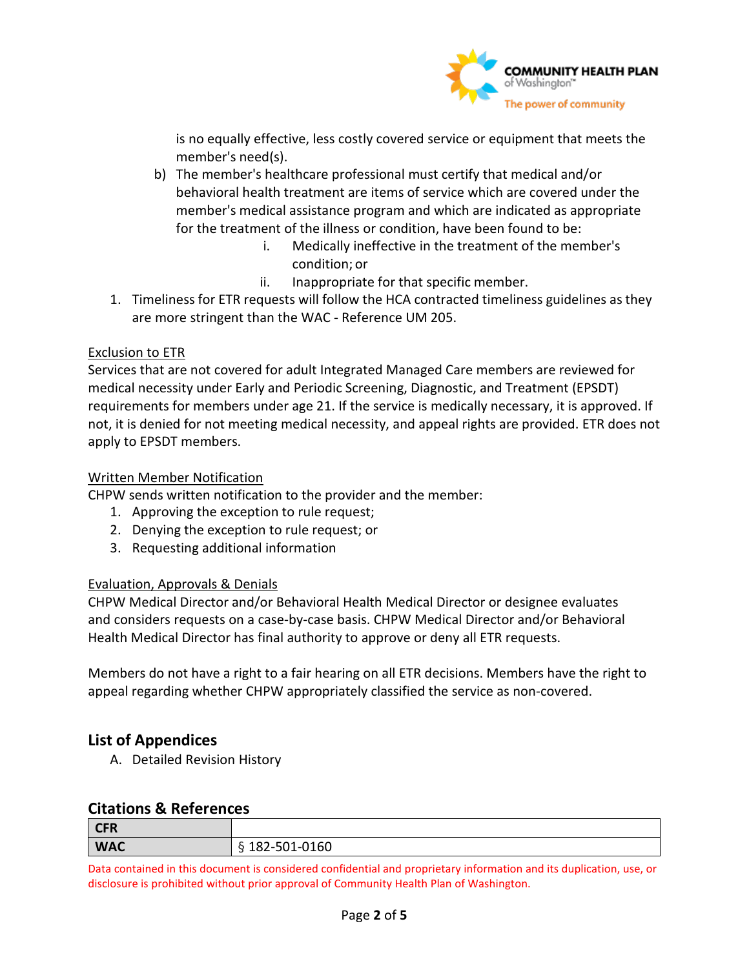

is no equally effective, less costly covered service or equipment that meets the member's need(s).

- b) The member's healthcare professional must certify that medical and/or behavioral health treatment are items of service which are covered under the member's medical assistance program and which are indicated as appropriate for the treatment of the illness or condition, have been found to be:
	- i. Medically ineffective in the treatment of the member's condition; or
	- ii. Inappropriate for that specific member.
- 1. Timeliness for ETR requests will follow the HCA contracted timeliness guidelines as they are more stringent than the WAC - Reference UM 205.

## Exclusion to ETR

Services that are not covered for adult Integrated Managed Care members are reviewed for medical necessity under Early and Periodic Screening, Diagnostic, and Treatment (EPSDT) requirements for members under age 21. If the service is medically necessary, it is approved. If not, it is denied for not meeting medical necessity, and appeal rights are provided. ETR does not apply to EPSDT members.

## Written Member Notification

CHPW sends written notification to the provider and the member:

- 1. Approving the exception to rule request;
- 2. Denying the exception to rule request; or
- 3. Requesting additional information

#### Evaluation, Approvals & Denials

CHPW Medical Director and/or Behavioral Health Medical Director or designee evaluates and considers requests on a case-by-case basis. CHPW Medical Director and/or Behavioral Health Medical Director has final authority to approve or deny all ETR requests.

Members do not have a right to a fair hearing on all ETR decisions. Members have the right to appeal regarding whether CHPW appropriately classified the service as non-covered.

# **List of Appendices**

A. Detailed Revision History

## **Citations & References**

| <b>CFR</b> |                                      |
|------------|--------------------------------------|
| <b>WAC</b> | $\sim$ $\sim$ $\sim$<br>182-501-0160 |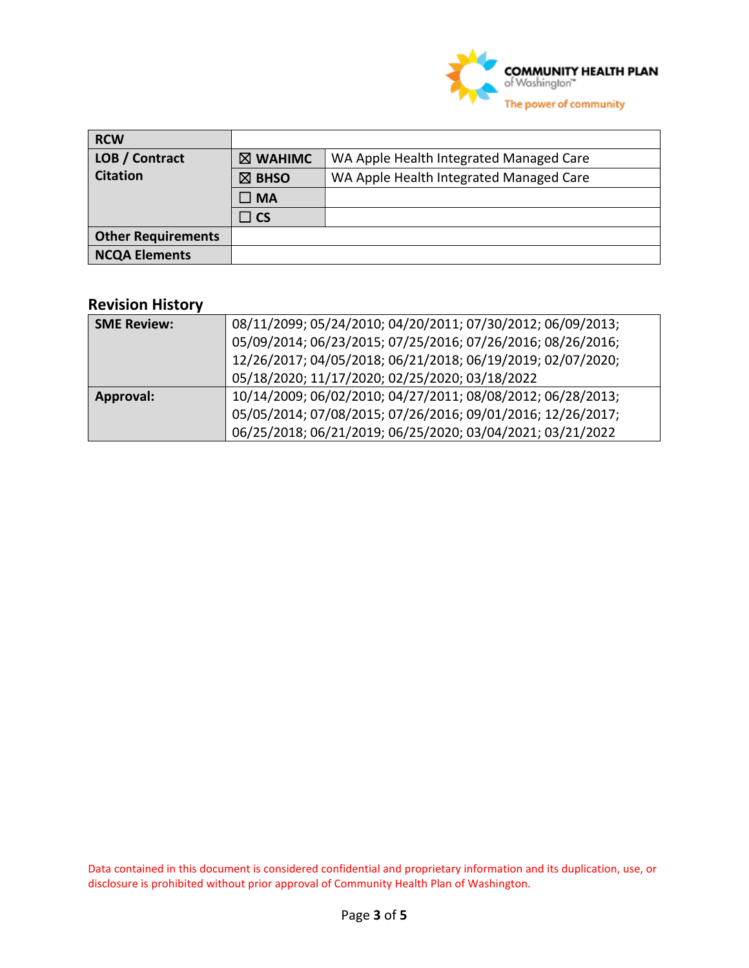

| <b>RCW</b>                |                    |                                         |
|---------------------------|--------------------|-----------------------------------------|
| LOB / Contract            | $\boxtimes$ WAHIMC | WA Apple Health Integrated Managed Care |
| <b>Citation</b>           | $\boxtimes$ BHSO   | WA Apple Health Integrated Managed Care |
|                           | $\square$ MA       |                                         |
|                           | $\square$ CS       |                                         |
| <b>Other Requirements</b> |                    |                                         |
| <b>NCQA Elements</b>      |                    |                                         |

# **Revision History**

| <b>SME Review:</b> | 08/11/2099; 05/24/2010; 04/20/2011; 07/30/2012; 06/09/2013; |
|--------------------|-------------------------------------------------------------|
|                    | 05/09/2014; 06/23/2015; 07/25/2016; 07/26/2016; 08/26/2016; |
|                    | 12/26/2017; 04/05/2018; 06/21/2018; 06/19/2019; 02/07/2020; |
|                    | 05/18/2020; 11/17/2020; 02/25/2020; 03/18/2022              |
| Approval:          | 10/14/2009; 06/02/2010; 04/27/2011; 08/08/2012; 06/28/2013; |
|                    | 05/05/2014; 07/08/2015; 07/26/2016; 09/01/2016; 12/26/2017; |
|                    | 06/25/2018; 06/21/2019; 06/25/2020; 03/04/2021; 03/21/2022  |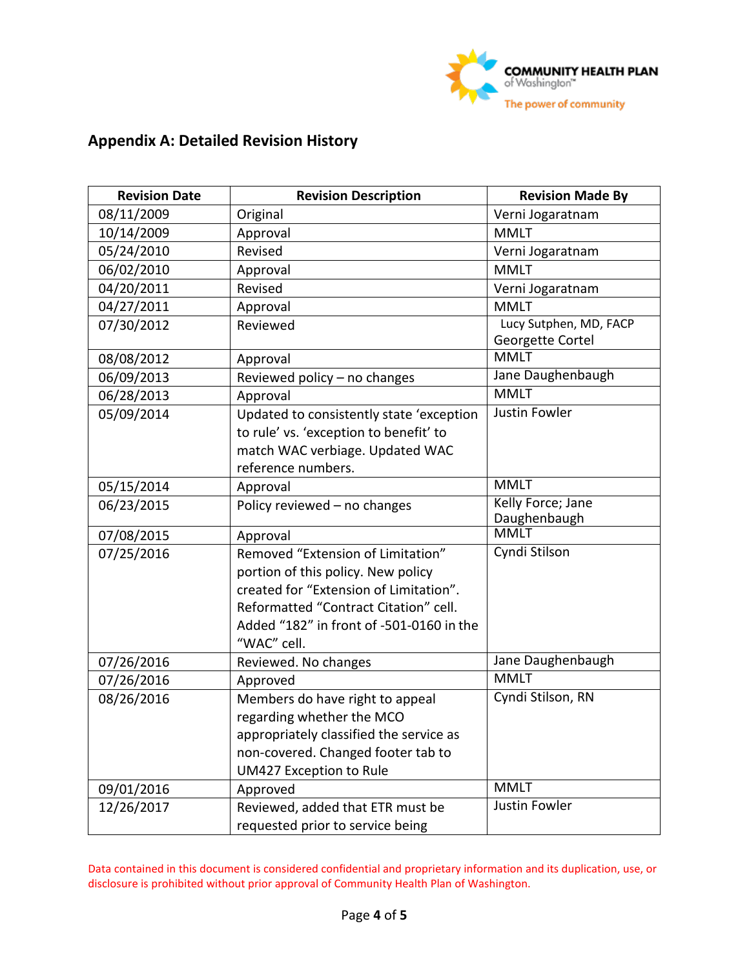

# **Appendix A: Detailed Revision History**

| <b>Revision Date</b> | <b>Revision Description</b>                                                                                                                                                                                           | <b>Revision Made By</b>                    |
|----------------------|-----------------------------------------------------------------------------------------------------------------------------------------------------------------------------------------------------------------------|--------------------------------------------|
| 08/11/2009           | Original                                                                                                                                                                                                              | Verni Jogaratnam                           |
| 10/14/2009           | Approval                                                                                                                                                                                                              | <b>MMLT</b>                                |
| 05/24/2010           | Revised                                                                                                                                                                                                               | Verni Jogaratnam                           |
| 06/02/2010           | Approval                                                                                                                                                                                                              | <b>MMLT</b>                                |
| 04/20/2011           | Revised                                                                                                                                                                                                               | Verni Jogaratnam                           |
| 04/27/2011           | Approval                                                                                                                                                                                                              | <b>MMLT</b>                                |
| 07/30/2012           | Reviewed                                                                                                                                                                                                              | Lucy Sutphen, MD, FACP<br>Georgette Cortel |
| 08/08/2012           | Approval                                                                                                                                                                                                              | <b>MMLT</b>                                |
| 06/09/2013           | Reviewed policy - no changes                                                                                                                                                                                          | Jane Daughenbaugh                          |
| 06/28/2013           | Approval                                                                                                                                                                                                              | <b>MMLT</b>                                |
| 05/09/2014           | Updated to consistently state 'exception<br>to rule' vs. 'exception to benefit' to<br>match WAC verbiage. Updated WAC<br>reference numbers.                                                                           | Justin Fowler                              |
| 05/15/2014           | Approval                                                                                                                                                                                                              | <b>MMLT</b>                                |
| 06/23/2015           | Policy reviewed - no changes                                                                                                                                                                                          | Kelly Force; Jane<br>Daughenbaugh          |
| 07/08/2015           | Approval                                                                                                                                                                                                              | <b>MMLT</b>                                |
| 07/25/2016           | Removed "Extension of Limitation"<br>portion of this policy. New policy<br>created for "Extension of Limitation".<br>Reformatted "Contract Citation" cell.<br>Added "182" in front of -501-0160 in the<br>"WAC" cell. | Cyndi Stilson                              |
| 07/26/2016           | Reviewed. No changes                                                                                                                                                                                                  | Jane Daughenbaugh                          |
| 07/26/2016           | Approved                                                                                                                                                                                                              | <b>MMLT</b>                                |
| 08/26/2016           | Members do have right to appeal<br>regarding whether the MCO<br>appropriately classified the service as<br>non-covered. Changed footer tab to<br>UM427 Exception to Rule                                              | Cyndi Stilson, RN                          |
| 09/01/2016           | Approved                                                                                                                                                                                                              | <b>MMLT</b>                                |
| 12/26/2017           | Reviewed, added that ETR must be<br>requested prior to service being                                                                                                                                                  | <b>Justin Fowler</b>                       |